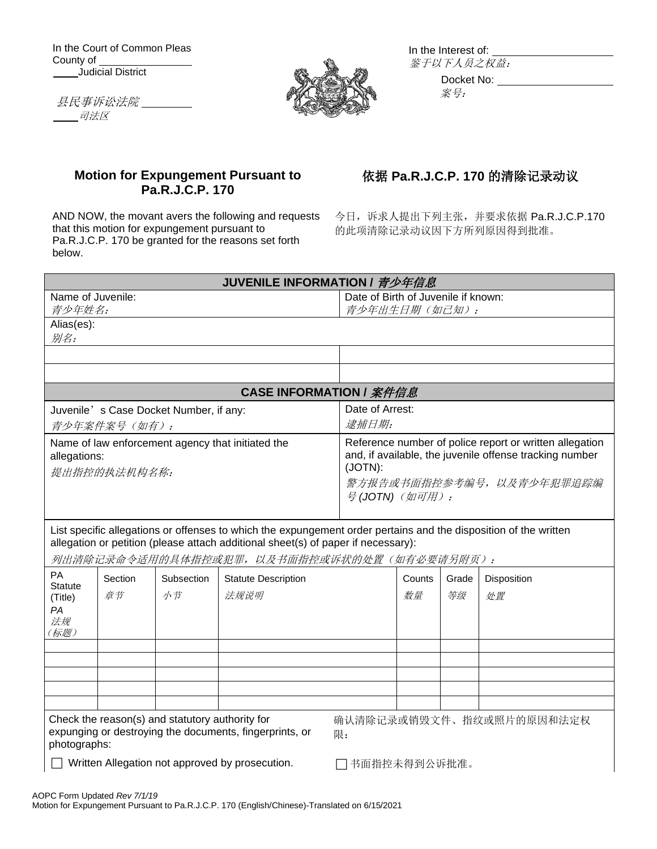In the Court of Common Pleas County of Judicial District

县民事诉讼法院 司法区



In the Interest of: 鉴于以下人员之权益:

Docket No: 案号:

## **Motion for Expungement Pursuant to Pa.R.J.C.P. 170**

AND NOW, the movant avers the following and requests that this motion for expungement pursuant to Pa.R.J.C.P. 170 be granted for the reasons set forth below.

## 依据 **Pa.R.J.C.P. 170** 的清除记录动议

今日,诉求人提出下列主张,并要求依据 Pa.R.J.C.P.170 的此项清除记录动议因下方所列原因得到批准。

| JUVENILE INFORMATION / <i>青少年信息</i>                                                                                                                          |                                                   |                                                                                                                                                                             |                                                                                                                                                                                                                                                     |               |              |             |                   |
|--------------------------------------------------------------------------------------------------------------------------------------------------------------|---------------------------------------------------|-----------------------------------------------------------------------------------------------------------------------------------------------------------------------------|-----------------------------------------------------------------------------------------------------------------------------------------------------------------------------------------------------------------------------------------------------|---------------|--------------|-------------|-------------------|
| Name of Juvenile:                                                                                                                                            |                                                   | Date of Birth of Juvenile if known:                                                                                                                                         |                                                                                                                                                                                                                                                     |               |              |             |                   |
| 青少年姓名:                                                                                                                                                       |                                                   |                                                                                                                                                                             |                                                                                                                                                                                                                                                     | 青少年出生日期(如己知): |              |             |                   |
| Alias(es):<br>别名:                                                                                                                                            |                                                   |                                                                                                                                                                             |                                                                                                                                                                                                                                                     |               |              |             |                   |
|                                                                                                                                                              |                                                   |                                                                                                                                                                             |                                                                                                                                                                                                                                                     |               |              |             |                   |
|                                                                                                                                                              |                                                   |                                                                                                                                                                             |                                                                                                                                                                                                                                                     |               |              |             |                   |
|                                                                                                                                                              | <b>CASE INFORMATION / 案件信息</b>                    |                                                                                                                                                                             |                                                                                                                                                                                                                                                     |               |              |             |                   |
| Juvenile's Case Docket Number, if any:                                                                                                                       |                                                   | Date of Arrest:                                                                                                                                                             |                                                                                                                                                                                                                                                     |               |              |             |                   |
| 青少年案件案号 (如有):                                                                                                                                                |                                                   | 逮捕日期:                                                                                                                                                                       |                                                                                                                                                                                                                                                     |               |              |             |                   |
| allegations:<br>提出指控的执法机构名称:                                                                                                                                 | Name of law enforcement agency that initiated the | Reference number of police report or written allegation<br>and, if available, the juvenile offense tracking number<br>(JOTN):<br>警方报告或书面指控参考编号,以及青少年犯罪追踪编<br>号(JOTN) (如可用): |                                                                                                                                                                                                                                                     |               |              |             |                   |
|                                                                                                                                                              |                                                   |                                                                                                                                                                             | List specific allegations or offenses to which the expungement order pertains and the disposition of the written<br>allegation or petition (please attach additional sheet(s) of paper if necessary):<br>列出清除记录命令适用的具体指控或犯罪,以及书面指控或诉状的处置(如有必要请另附页): |               |              |             |                   |
| PA<br><b>Statute</b><br>(Title)<br>PA<br>法规<br>(标题)                                                                                                          | Section<br>章节                                     | Subsection<br>小节                                                                                                                                                            | <b>Statute Description</b><br>法规说明                                                                                                                                                                                                                  |               | Counts<br>数量 | Grade<br>等级 | Disposition<br>处置 |
|                                                                                                                                                              |                                                   |                                                                                                                                                                             |                                                                                                                                                                                                                                                     |               |              |             |                   |
| Check the reason(s) and statutory authority for<br>确认清除记录或销毁文件、指纹或照片的原因和法定权<br>expunging or destroying the documents, fingerprints, or<br>限:<br>photographs: |                                                   |                                                                                                                                                                             |                                                                                                                                                                                                                                                     |               |              |             |                   |
| Written Allegation not approved by prosecution.<br>77 书面指控未得到公诉批准。                                                                                           |                                                   |                                                                                                                                                                             |                                                                                                                                                                                                                                                     |               |              |             |                   |